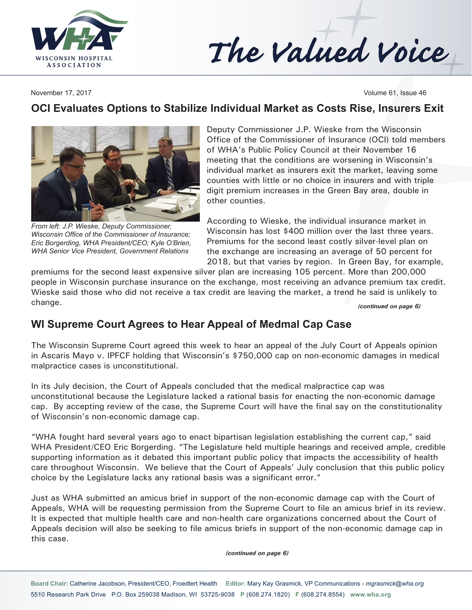



November 17, 2017 **Volume 61, Issue 46** 

## **OCI Evaluates Options to Stabilize Individual Market as Costs Rise, Insurers Exit**



*From left: J.P. Wieske, Deputy Commissioner, Wisconsin Office of the Commissioner of Insurance; Eric Borgerding, WHA President/CEO; Kyle O'Brien, WHA Senior Vice President, Government Relations*

Deputy Commissioner J.P. Wieske from the Wisconsin Office of the Commissioner of Insurance (OCI) told members of WHA's Public Policy Council at their November 16 meeting that the conditions are worsening in Wisconsin's individual market as insurers exit the market, leaving some counties with little or no choice in insurers and with triple digit premium increases in the Green Bay area, double in other counties.

According to Wieske, the individual insurance market in Wisconsin has lost \$400 million over the last three years. Premiums for the second least costly silver-level plan on the exchange are increasing an average of 50 percent for 2018, but that varies by region. In Green Bay, for example,

premiums for the second least expensive silver plan are increasing 105 percent. More than 200,000 people in Wisconsin purchase insurance on the exchange, most receiving an advance premium tax credit. Wieske said those who did not receive a tax credit are leaving the market, a trend he said is unlikely to change. *(continued on page 6)*

## **WI Supreme Court Agrees to Hear Appeal of Medmal Cap Case**

The Wisconsin Supreme Court agreed this week to hear an appeal of the July Court of Appeals opinion in Ascaris Mayo v. IPFCF holding that Wisconsin's \$750,000 cap on non-economic damages in medical malpractice cases is unconstitutional.

In its July decision, the Court of Appeals concluded that the medical malpractice cap was unconstitutional because the Legislature lacked a rational basis for enacting the non-economic damage cap. By accepting review of the case, the Supreme Court will have the final say on the constitutionality of Wisconsin's non-economic damage cap.

"WHA fought hard several years ago to enact bipartisan legislation establishing the current cap," said WHA President/CEO Eric Borgerding. "The Legislature held multiple hearings and received ample, credible supporting information as it debated this important public policy that impacts the accessibility of health care throughout Wisconsin. We believe that the Court of Appeals' July conclusion that this public policy choice by the Legislature lacks any rational basis was a significant error."

Just as WHA submitted an amicus brief in support of the non-economic damage cap with the Court of Appeals, WHA will be requesting permission from the Supreme Court to file an amicus brief in its review. It is expected that multiple health care and non-health care organizations concerned about the Court of Appeals decision will also be seeking to file amicus briefs in support of the non-economic damage cap in this case.

*(continued on page 6)*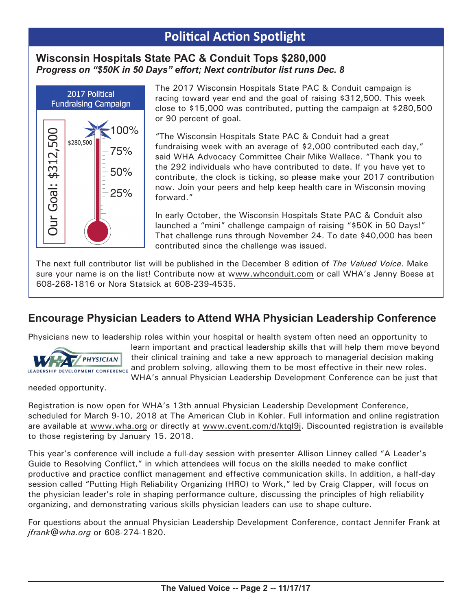# **Political Action Spotlight**

### **Wisconsin Hospitals State PAC & Conduit Tops \$280,000** *Progress on "\$50K in 50 Days" effort; Next contributor list runs Dec. 8*



The 2017 Wisconsin Hospitals State PAC & Conduit campaign is racing toward year end and the goal of raising \$312,500. This week close to \$15,000 was contributed, putting the campaign at \$280,500 or 90 percent of goal.

"The Wisconsin Hospitals State PAC & Conduit had a great fundraising week with an average of \$2,000 contributed each day," said WHA Advocacy Committee Chair Mike Wallace. "Thank you to the 292 individuals who have contributed to date. If you have yet to contribute, the clock is ticking, so please make your 2017 contribution now. Join your peers and help keep health care in Wisconsin moving forward."

In early October, the Wisconsin Hospitals State PAC & Conduit also launched a "mini" challenge campaign of raising "\$50K in 50 Days!" That challenge runs through November 24. To date \$40,000 has been contributed since the challenge was issued.

The next full contributor list will be published in the December 8 edition of *The Valued Voice*. Make sure your name is on the list! Contribute now at [www.whconduit.com](http://www.whconduit.com) or call WHA's Jenny Boese at 608-268-1816 or Nora Statsick at 608-239-4535.

## **Encourage Physician Leaders to Attend WHA Physician Leadership Conference**

Physicians new to leadership roles within your hospital or health system often need an opportunity to



learn important and practical leadership skills that will help them move beyond their clinical training and take a new approach to managerial decision making and problem solving, allowing them to be most effective in their new roles. WHA's annual Physician Leadership Development Conference can be just that

needed opportunity.

Registration is now open for WHA's 13th annual Physician Leadership Development Conference, scheduled for March 9-10, 2018 at The American Club in Kohler. Full information and online registration are available at [www.wha.org](http://www.wha.org) or directly at [www.cvent.com/d/ktql](http://www.cvent.com/d/ktql9j)9j. Discounted registration is available to those registering by January 15. 2018.

This year's conference will include a full-day session with presenter Allison Linney called "A Leader's Guide to Resolving Conflict," in which attendees will focus on the skills needed to make conflict productive and practice conflict management and effective communication skills. In addition, a half-day session called "Putting High Reliability Organizing (HRO) to Work," led by Craig Clapper, will focus on the physician leader's role in shaping performance culture, discussing the principles of high reliability organizing, and demonstrating various skills physician leaders can use to shape culture.

For questions about the annual Physician Leadership Development Conference, contact Jennifer Frank at *[jfrank@wha.org](mailto:jfrank@wha.org)* or 608-274-1820.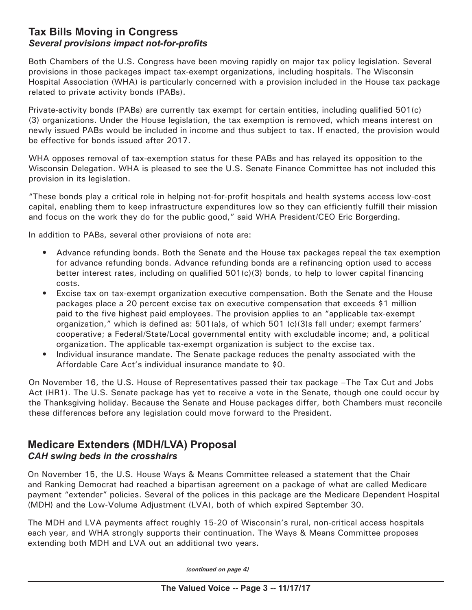### **Tax Bills Moving in Congress** *Several provisions impact not-for-profits*

Both Chambers of the U.S. Congress have been moving rapidly on major tax policy legislation. Several provisions in those packages impact tax-exempt organizations, including hospitals. The Wisconsin Hospital Association (WHA) is particularly concerned with a provision included in the House tax package related to private activity bonds (PABs).

Private-activity bonds (PABs) are currently tax exempt for certain entities, including qualified 501(c) (3) organizations. Under the House legislation, the tax exemption is removed, which means interest on newly issued PABs would be included in income and thus subject to tax. If enacted, the provision would be effective for bonds issued after 2017.

WHA opposes removal of tax-exemption status for these PABs and has relayed its opposition to the Wisconsin Delegation. WHA is pleased to see the U.S. Senate Finance Committee has not included this provision in its legislation.

"These bonds play a critical role in helping not-for-profit hospitals and health systems access low-cost capital, enabling them to keep infrastructure expenditures low so they can efficiently fulfill their mission and focus on the work they do for the public good," said WHA President/CEO Eric Borgerding.

In addition to PABs, several other provisions of note are:

- Advance refunding bonds. Both the Senate and the House tax packages repeal the tax exemption for advance refunding bonds. Advance refunding bonds are a refinancing option used to access better interest rates, including on qualified 501(c)(3) bonds, to help to lower capital financing costs.
- Excise tax on tax-exempt organization executive compensation. Both the Senate and the House packages place a 20 percent excise tax on executive compensation that exceeds \$1 million paid to the five highest paid employees. The provision applies to an "applicable tax-exempt organization," which is defined as: 501(a)s, of which 501 (c)(3)s fall under; exempt farmers' cooperative; a Federal/State/Local governmental entity with excludable income; and, a political organization. The applicable tax-exempt organization is subject to the excise tax.
- Individual insurance mandate. The Senate package reduces the penalty associated with the Affordable Care Act's individual insurance mandate to \$0.

On November 16, the U.S. House of Representatives passed their tax package –The Tax Cut and Jobs Act (HR1). The U.S. Senate package has yet to receive a vote in the Senate, though one could occur by the Thanksgiving holiday. Because the Senate and House packages differ, both Chambers must reconcile these differences before any legislation could move forward to the President.

### **Medicare Extenders (MDH/LVA) Proposal** *CAH swing beds in the crosshairs*

On November 15, the U.S. House Ways & Means Committee released a statement that the Chair and Ranking Democrat had reached a bipartisan agreement on a package of what are called Medicare payment "extender" policies. Several of the polices in this package are the Medicare Dependent Hospital (MDH) and the Low-Volume Adjustment (LVA), both of which expired September 30.

The MDH and LVA payments affect roughly 15-20 of Wisconsin's rural, non-critical access hospitals each year, and WHA strongly supports their continuation. The Ways & Means Committee proposes extending both MDH and LVA out an additional two years.

*(continued on page 4)*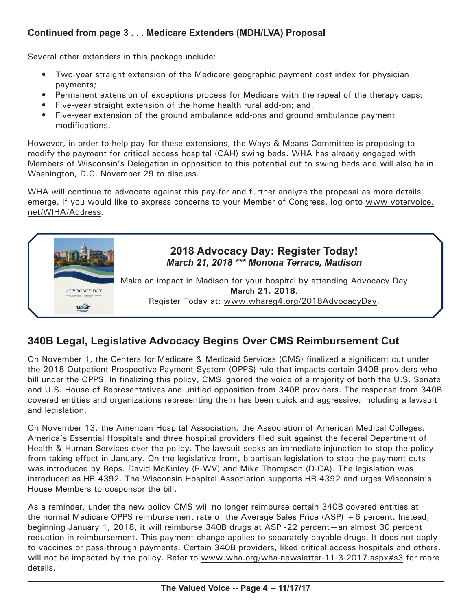### **Continued from page 3 . . . Medicare Extenders (MDH/LVA) Proposal**

Several other extenders in this package include:

- Two-year straight extension of the Medicare geographic payment cost index for physician payments;
- Permanent extension of exceptions process for Medicare with the repeal of the therapy caps;
- Five-year straight extension of the home health rural add-on; and,
- Five-year extension of the ground ambulance add-ons and ground ambulance payment modifications.

However, in order to help pay for these extensions, the Ways & Means Committee is proposing to modify the payment for critical access hospital (CAH) swing beds. WHA has already engaged with Members of Wisconsin's Delegation in opposition to this potential cut to swing beds and will also be in Washington, D.C. November 29 to discuss.

WHA will continue to advocate against this pay-for and further analyze the proposal as more details emerge. If you would like to express concerns to your Member of Congress, log onto [www.votervoice.](http://www.votervoice.net/WIHA/Address) [net/WIHA/Address.](http://www.votervoice.net/WIHA/Address)



## **340B Legal, Legislative Advocacy Begins Over CMS Reimbursement Cut**

On November 1, the Centers for Medicare & Medicaid Services (CMS) finalized a significant cut under the 2018 Outpatient Prospective Payment System (OPPS) rule that impacts certain 340B providers who bill under the OPPS. In finalizing this policy, CMS ignored the voice of a majority of both the U.S. Senate and U.S. House of Representatives and unified opposition from 340B providers. The response from 340B covered entities and organizations representing them has been quick and aggressive, including a lawsuit and legislation.

On November 13, the American Hospital Association, the Association of American Medical Colleges, America's Essential Hospitals and three hospital providers filed suit against the federal Department of Health & Human Services over the policy. The lawsuit seeks an immediate injunction to stop the policy from taking effect in January. On the legislative front, bipartisan legislation to stop the payment cuts was introduced by Reps. David McKinley (R-WV) and Mike Thompson (D-CA). The legislation was introduced as HR 4392. The Wisconsin Hospital Association supports HR 4392 and urges Wisconsin's House Members to cosponsor the bill.

As a reminder, under the new policy CMS will no longer reimburse certain 340B covered entities at the normal Medicare OPPS reimbursement rate of the Average Sales Price (ASP) +6 percent. Instead, beginning January 1, 2018, it will reimburse 340B drugs at ASP -22 percent—an almost 30 percent reduction in reimbursement. This payment change applies to separately payable drugs. It does not apply to vaccines or pass-through payments. Certain 340B providers, liked critical access hospitals and others, will not be impacted by the policy. Refer to [www.wha.org/wha-newsletter-11-3-2017.aspx#](http://www.wha.org/wha-newsletter-11-3-2017.aspx#s3)s3 for more details.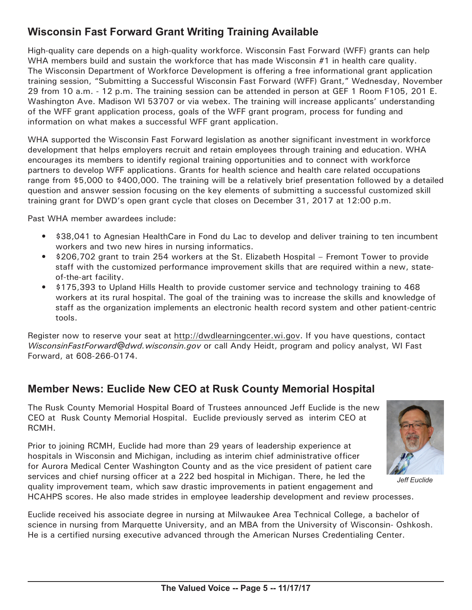## **Wisconsin Fast Forward Grant Writing Training Available**

High-quality care depends on a high-quality workforce. Wisconsin Fast Forward (WFF) grants can help WHA members build and sustain the workforce that has made Wisconsin #1 in health care quality. The Wisconsin Department of Workforce Development is offering a free informational grant application training session, "Submitting a Successful Wisconsin Fast Forward (WFF) Grant," Wednesday, November 29 from 10 a.m. - 12 p.m. The training session can be attended in person at GEF 1 Room F105, 201 E. Washington Ave. Madison WI 53707 or via webex. The training will increase applicants' understanding of the WFF grant application process, goals of the WFF grant program, process for funding and information on what makes a successful WFF grant application.

WHA supported the Wisconsin Fast Forward legislation as another significant investment in workforce development that helps employers recruit and retain employees through training and education. WHA encourages its members to identify regional training opportunities and to connect with workforce partners to develop WFF applications. Grants for health science and health care related occupations range from \$5,000 to \$400,000. The training will be a relatively brief presentation followed by a detailed question and answer session focusing on the key elements of submitting a successful customized skill training grant for DWD's open grant cycle that closes on December 31, 2017 at 12:00 p.m.

Past WHA member awardees include:

- \$38,041 to Agnesian HealthCare in Fond du Lac to develop and deliver training to ten incumbent workers and two new hires in nursing informatics.
- \$206,702 grant to train 254 workers at the St. Elizabeth Hospital Fremont Tower to provide staff with the customized performance improvement skills that are required within a new, stateof-the-art facility.
- \$175,393 to Upland Hills Health to provide customer service and technology training to 468 workers at its rural hospital. The goal of the training was to increase the skills and knowledge of staff as the organization implements an electronic health record system and other patient-centric tools.

Register now to reserve your seat at <http://dwdlearningcenter.wi.gov>. If you have questions, contact *[WisconsinFastForward@dwd.wisconsin.gov](mailto:WisconsinFastForward@dwd.wisconsin.gov)* or call Andy Heidt, program and policy analyst, WI Fast Forward, at 608-266-0174.

## **Member News: Euclide New CEO at Rusk County Memorial Hospital**

The Rusk County Memorial Hospital Board of Trustees announced Jeff Euclide is the new CEO at Rusk County Memorial Hospital. Euclide previously served as interim CEO at RCMH.

Prior to joining RCMH, Euclide had more than 29 years of leadership experience at hospitals in Wisconsin and Michigan, including as interim chief administrative officer for Aurora Medical Center Washington County and as the vice president of patient care services and chief nursing officer at a 222 bed hospital in Michigan. There, he led the quality improvement team, which saw drastic improvements in patient engagement and



*Jeff Euclide*

HCAHPS scores. He also made strides in employee leadership development and review processes.

Euclide received his associate degree in nursing at Milwaukee Area Technical College, a bachelor of science in nursing from Marquette University, and an MBA from the University of Wisconsin- Oshkosh. He is a certified nursing executive advanced through the American Nurses Credentialing Center.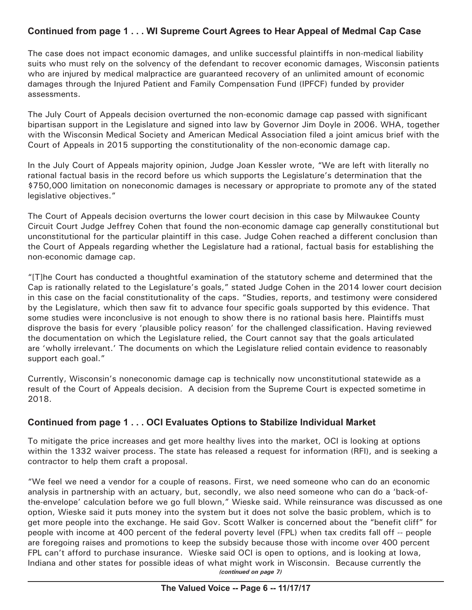### **Continued from page 1 . . . WI Supreme Court Agrees to Hear Appeal of Medmal Cap Case**

The case does not impact economic damages, and unlike successful plaintiffs in non-medical liability suits who must rely on the solvency of the defendant to recover economic damages, Wisconsin patients who are injured by medical malpractice are guaranteed recovery of an unlimited amount of economic damages through the Injured Patient and Family Compensation Fund (IPFCF) funded by provider assessments.

The July Court of Appeals decision overturned the non-economic damage cap passed with significant bipartisan support in the Legislature and signed into law by Governor Jim Doyle in 2006. WHA, together with the Wisconsin Medical Society and American Medical Association filed a joint amicus brief with the Court of Appeals in 2015 supporting the constitutionality of the non-economic damage cap.

In the July Court of Appeals majority opinion, Judge Joan Kessler wrote, "We are left with literally no rational factual basis in the record before us which supports the Legislature's determination that the \$750,000 limitation on noneconomic damages is necessary or appropriate to promote any of the stated legislative objectives."

The Court of Appeals decision overturns the lower court decision in this case by Milwaukee County Circuit Court Judge Jeffrey Cohen that found the non-economic damage cap generally constitutional but unconstitutional for the particular plaintiff in this case. Judge Cohen reached a different conclusion than the Court of Appeals regarding whether the Legislature had a rational, factual basis for establishing the non-economic damage cap.

"[T]he Court has conducted a thoughtful examination of the statutory scheme and determined that the Cap is rationally related to the Legislature's goals," stated Judge Cohen in the 2014 lower court decision in this case on the facial constitutionality of the caps. "Studies, reports, and testimony were considered by the Legislature, which then saw fit to advance four specific goals supported by this evidence. That some studies were inconclusive is not enough to show there is no rational basis here. Plaintiffs must disprove the basis for every 'plausible policy reason' for the challenged classification. Having reviewed the documentation on which the Legislature relied, the Court cannot say that the goals articulated are 'wholly irrelevant.' The documents on which the Legislature relied contain evidence to reasonably support each goal."

Currently, Wisconsin's noneconomic damage cap is technically now unconstitutional statewide as a result of the Court of Appeals decision. A decision from the Supreme Court is expected sometime in 2018.

### **Continued from page 1 . . . OCI Evaluates Options to Stabilize Individual Market**

To mitigate the price increases and get more healthy lives into the market, OCI is looking at options within the 1332 waiver process. The state has released a request for information (RFI), and is seeking a contractor to help them craft a proposal.

"We feel we need a vendor for a couple of reasons. First, we need someone who can do an economic analysis in partnership with an actuary, but, secondly, we also need someone who can do a 'back-ofthe-envelope' calculation before we go full blown," Wieske said. While reinsurance was discussed as one option, Wieske said it puts money into the system but it does not solve the basic problem, which is to get more people into the exchange. He said Gov. Scott Walker is concerned about the "benefit cliff" for people with income at 400 percent of the federal poverty level (FPL) when tax credits fall off -- people are foregoing raises and promotions to keep the subsidy because those with income over 400 percent FPL can't afford to purchase insurance. Wieske said OCI is open to options, and is looking at Iowa, Indiana and other states for possible ideas of what might work in Wisconsin. Because currently the *(continued on page 7)*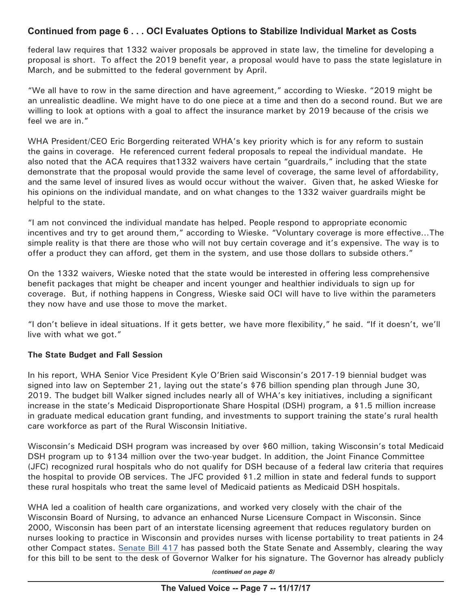#### **Continued from page 6 . . . OCI Evaluates Options to Stabilize Individual Market as Costs**

federal law requires that 1332 waiver proposals be approved in state law, the timeline for developing a proposal is short. To affect the 2019 benefit year, a proposal would have to pass the state legislature in March, and be submitted to the federal government by April.

"We all have to row in the same direction and have agreement," according to Wieske. "2019 might be an unrealistic deadline. We might have to do one piece at a time and then do a second round. But we are willing to look at options with a goal to affect the insurance market by 2019 because of the crisis we feel we are in."

WHA President/CEO Eric Borgerding reiterated WHA's key priority which is for any reform to sustain the gains in coverage. He referenced current federal proposals to repeal the individual mandate. He also noted that the ACA requires that1332 waivers have certain "guardrails," including that the state demonstrate that the proposal would provide the same level of coverage, the same level of affordability, and the same level of insured lives as would occur without the waiver. Given that, he asked Wieske for his opinions on the individual mandate, and on what changes to the 1332 waiver guardrails might be helpful to the state.

"I am not convinced the individual mandate has helped. People respond to appropriate economic incentives and try to get around them," according to Wieske. "Voluntary coverage is more effective…The simple reality is that there are those who will not buy certain coverage and it's expensive. The way is to offer a product they can afford, get them in the system, and use those dollars to subside others."

On the 1332 waivers, Wieske noted that the state would be interested in offering less comprehensive benefit packages that might be cheaper and incent younger and healthier individuals to sign up for coverage. But, if nothing happens in Congress, Wieske said OCI will have to live within the parameters they now have and use those to move the market.

"I don't believe in ideal situations. If it gets better, we have more flexibility," he said. "If it doesn't, we'll live with what we got."

#### **The State Budget and Fall Session**

In his report, WHA Senior Vice President Kyle O'Brien said Wisconsin's 2017-19 biennial budget was signed into law on September 21, laying out the state's \$76 billion spending plan through June 30, 2019. The budget bill Walker signed includes nearly all of WHA's key initiatives, including a significant increase in the state's Medicaid Disproportionate Share Hospital (DSH) program, a \$1.5 million increase in graduate medical education grant funding, and investments to support training the state's rural health care workforce as part of the Rural Wisconsin Initiative.

Wisconsin's Medicaid DSH program was increased by over \$60 million, taking Wisconsin's total Medicaid DSH program up to \$134 million over the two-year budget. In addition, the Joint Finance Committee (JFC) recognized rural hospitals who do not qualify for DSH because of a federal law criteria that requires the hospital to provide OB services. The JFC provided \$1.2 million in state and federal funds to support these rural hospitals who treat the same level of Medicaid patients as Medicaid DSH hospitals.

WHA led a coalition of health care organizations, and worked very closely with the chair of the Wisconsin Board of Nursing, to advance an enhanced Nurse Licensure Compact in Wisconsin. Since 2000, Wisconsin has been part of an interstate licensing agreement that reduces regulatory burden on nurses looking to practice in Wisconsin and provides nurses with license portability to treat patients in 24 other Compact states. [Senate Bill 417](https://docs.legis.wisconsin.gov/2017/proposals/sb417) has passed both the State Senate and Assembly, clearing the way for this bill to be sent to the desk of Governor Walker for his signature. The Governor has already publicly

*(continued on page 8)*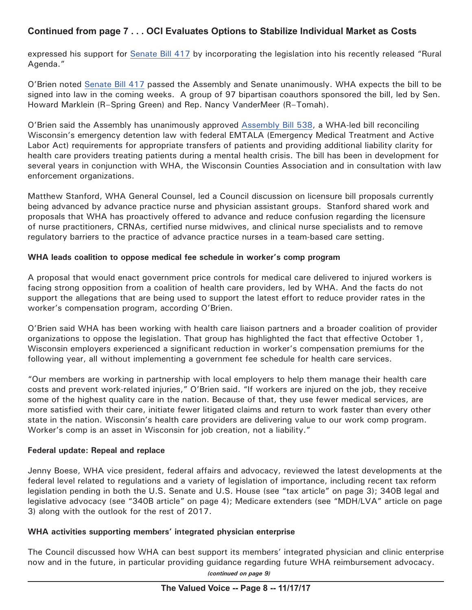### **Continued from page 7 . . . OCI Evaluates Options to Stabilize Individual Market as Costs**

expressed his support for [Senate Bill 417](https://docs.legis.wisconsin.gov/2017/proposals/sb417) by incorporating the legislation into his recently released "Rural Agenda."

O'Brien noted [Senate Bill 417](https://docs.legis.wisconsin.gov/2017/proposals/sb417) passed the Assembly and Senate unanimously. WHA expects the bill to be signed into law in the coming weeks. A group of 97 bipartisan coauthors sponsored the bill, led by Sen. Howard Marklein (R–Spring Green) and Rep. Nancy VanderMeer (R–Tomah).

O'Brien said the Assembly has unanimously approved [Assembly Bill 538,](https://docs.legis.wisconsin.gov/2017/proposals/ab538) a WHA-led bill reconciling Wisconsin's emergency detention law with federal EMTALA (Emergency Medical Treatment and Active Labor Act) requirements for appropriate transfers of patients and providing additional liability clarity for health care providers treating patients during a mental health crisis. The bill has been in development for several years in conjunction with WHA, the Wisconsin Counties Association and in consultation with law enforcement organizations.

Matthew Stanford, WHA General Counsel, led a Council discussion on licensure bill proposals currently being advanced by advance practice nurse and physician assistant groups. Stanford shared work and proposals that WHA has proactively offered to advance and reduce confusion regarding the licensure of nurse practitioners, CRNAs, certified nurse midwives, and clinical nurse specialists and to remove regulatory barriers to the practice of advance practice nurses in a team-based care setting.

#### **WHA leads coalition to oppose medical fee schedule in worker's comp program**

A proposal that would enact government price controls for medical care delivered to injured workers is facing strong opposition from a coalition of health care providers, led by WHA. And the facts do not support the allegations that are being used to support the latest effort to reduce provider rates in the worker's compensation program, according O'Brien.

O'Brien said WHA has been working with health care liaison partners and a broader coalition of provider organizations to oppose the legislation. That group has highlighted the fact that effective October 1, Wisconsin employers experienced a significant reduction in worker's compensation premiums for the following year, all without implementing a government fee schedule for health care services.

"Our members are working in partnership with local employers to help them manage their health care costs and prevent work-related injuries," O'Brien said. "If workers are injured on the job, they receive some of the highest quality care in the nation. Because of that, they use fewer medical services, are more satisfied with their care, initiate fewer litigated claims and return to work faster than every other state in the nation. Wisconsin's health care providers are delivering value to our work comp program. Worker's comp is an asset in Wisconsin for job creation, not a liability."

#### **Federal update: Repeal and replace**

Jenny Boese, WHA vice president, federal affairs and advocacy, reviewed the latest developments at the federal level related to regulations and a variety of legislation of importance, including recent tax reform legislation pending in both the U.S. Senate and U.S. House (see "tax article" on page 3); 340B legal and legislative advocacy (see "340B article" on page 4); Medicare extenders (see "MDH/LVA" article on page 3) along with the outlook for the rest of 2017.

#### **WHA activities supporting members' integrated physician enterprise**

The Council discussed how WHA can best support its members' integrated physician and clinic enterprise now and in the future, in particular providing guidance regarding future WHA reimbursement advocacy.

*(continued on page 9)*